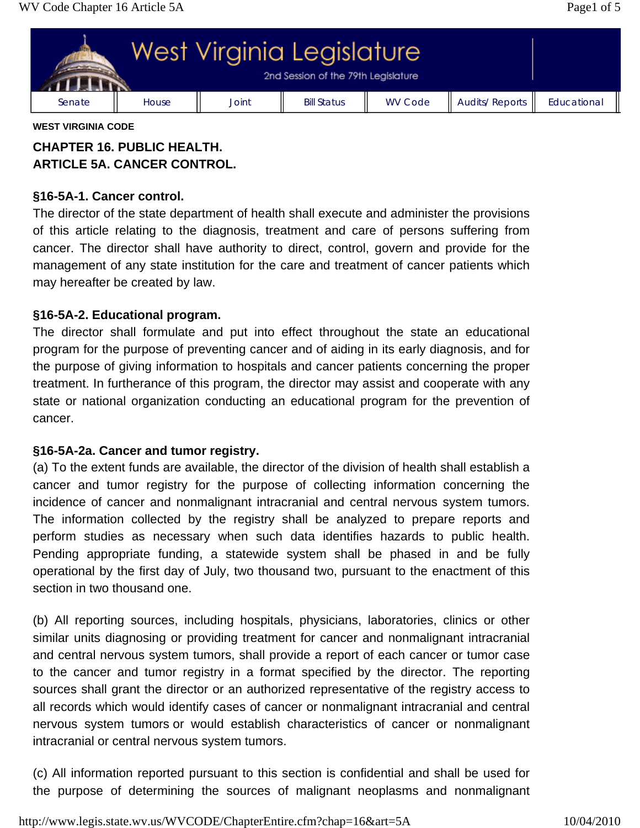

#### **WEST VIRGINIA CODE**

# **CHAPTER 16. PUBLIC HEALTH. ARTICLE 5A. CANCER CONTROL.**

### **§16-5A-1. Cancer control.**

The director of the state department of health shall execute and administer the provisions of this article relating to the diagnosis, treatment and care of persons suffering from cancer. The director shall have authority to direct, control, govern and provide for the management of any state institution for the care and treatment of cancer patients which may hereafter be created by law.

## **§16-5A-2. Educational program.**

The director shall formulate and put into effect throughout the state an educational program for the purpose of preventing cancer and of aiding in its early diagnosis, and for the purpose of giving information to hospitals and cancer patients concerning the proper treatment. In furtherance of this program, the director may assist and cooperate with any state or national organization conducting an educational program for the prevention of cancer.

#### **§16-5A-2a. Cancer and tumor registry.**

(a) To the extent funds are available, the director of the division of health shall establish a cancer and tumor registry for the purpose of collecting information concerning the incidence of cancer and nonmalignant intracranial and central nervous system tumors. The information collected by the registry shall be analyzed to prepare reports and perform studies as necessary when such data identifies hazards to public health. Pending appropriate funding, a statewide system shall be phased in and be fully operational by the first day of July, two thousand two, pursuant to the enactment of this section in two thousand one.

(b) All reporting sources, including hospitals, physicians, laboratories, clinics or other similar units diagnosing or providing treatment for cancer and nonmalignant intracranial and central nervous system tumors, shall provide a report of each cancer or tumor case to the cancer and tumor registry in a format specified by the director. The reporting sources shall grant the director or an authorized representative of the registry access to all records which would identify cases of cancer or nonmalignant intracranial and central nervous system tumors or would establish characteristics of cancer or nonmalignant intracranial or central nervous system tumors.

(c) All information reported pursuant to this section is confidential and shall be used for the purpose of determining the sources of malignant neoplasms and nonmalignant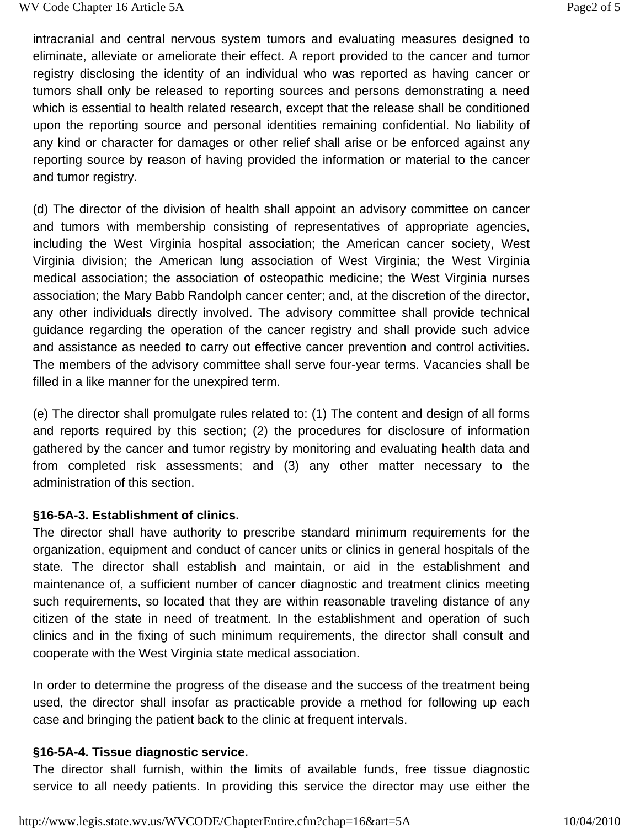intracranial and central nervous system tumors and evaluating measures designed to eliminate, alleviate or ameliorate their effect. A report provided to the cancer and tumor registry disclosing the identity of an individual who was reported as having cancer or tumors shall only be released to reporting sources and persons demonstrating a need which is essential to health related research, except that the release shall be conditioned upon the reporting source and personal identities remaining confidential. No liability of any kind or character for damages or other relief shall arise or be enforced against any reporting source by reason of having provided the information or material to the cancer and tumor registry.

(d) The director of the division of health shall appoint an advisory committee on cancer and tumors with membership consisting of representatives of appropriate agencies, including the West Virginia hospital association; the American cancer society, West Virginia division; the American lung association of West Virginia; the West Virginia medical association; the association of osteopathic medicine; the West Virginia nurses association; the Mary Babb Randolph cancer center; and, at the discretion of the director, any other individuals directly involved. The advisory committee shall provide technical guidance regarding the operation of the cancer registry and shall provide such advice and assistance as needed to carry out effective cancer prevention and control activities. The members of the advisory committee shall serve four-year terms. Vacancies shall be filled in a like manner for the unexpired term.

(e) The director shall promulgate rules related to: (1) The content and design of all forms and reports required by this section; (2) the procedures for disclosure of information gathered by the cancer and tumor registry by monitoring and evaluating health data and from completed risk assessments; and (3) any other matter necessary to the administration of this section.

#### **§16-5A-3. Establishment of clinics.**

The director shall have authority to prescribe standard minimum requirements for the organization, equipment and conduct of cancer units or clinics in general hospitals of the state. The director shall establish and maintain, or aid in the establishment and maintenance of, a sufficient number of cancer diagnostic and treatment clinics meeting such requirements, so located that they are within reasonable traveling distance of any citizen of the state in need of treatment. In the establishment and operation of such clinics and in the fixing of such minimum requirements, the director shall consult and cooperate with the West Virginia state medical association.

In order to determine the progress of the disease and the success of the treatment being used, the director shall insofar as practicable provide a method for following up each case and bringing the patient back to the clinic at frequent intervals.

#### **§16-5A-4. Tissue diagnostic service.**

The director shall furnish, within the limits of available funds, free tissue diagnostic service to all needy patients. In providing this service the director may use either the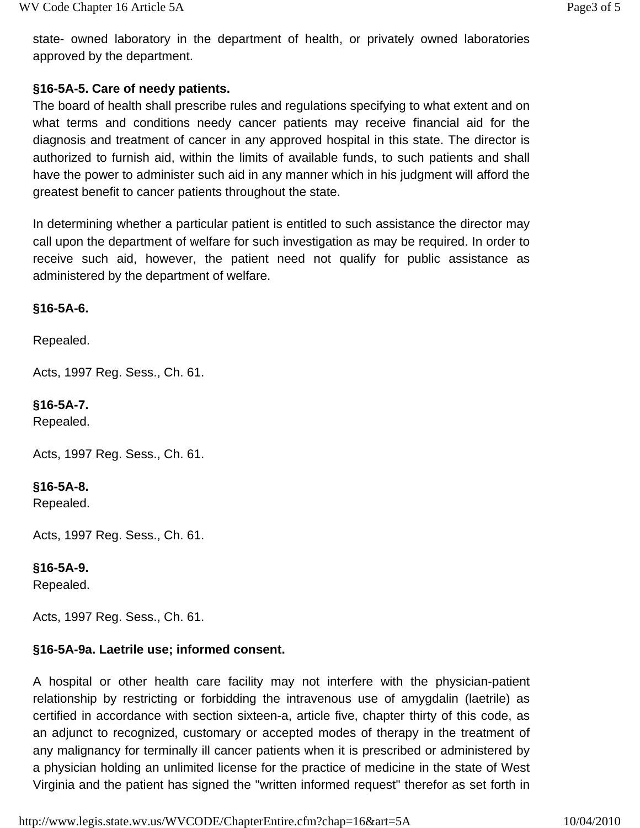state- owned laboratory in the department of health, or privately owned laboratories approved by the department.

## **§16-5A-5. Care of needy patients.**

The board of health shall prescribe rules and regulations specifying to what extent and on what terms and conditions needy cancer patients may receive financial aid for the diagnosis and treatment of cancer in any approved hospital in this state. The director is authorized to furnish aid, within the limits of available funds, to such patients and shall have the power to administer such aid in any manner which in his judgment will afford the greatest benefit to cancer patients throughout the state.

In determining whether a particular patient is entitled to such assistance the director may call upon the department of welfare for such investigation as may be required. In order to receive such aid, however, the patient need not qualify for public assistance as administered by the department of welfare.

## **§16-5A-6.**

Repealed.

Acts, 1997 Reg. Sess., Ch. 61.

**§16-5A-7.** Repealed.

Acts, 1997 Reg. Sess., Ch. 61.

**§16-5A-8.**

Repealed.

Acts, 1997 Reg. Sess., Ch. 61.

#### **§16-5A-9.**

Repealed.

Acts, 1997 Reg. Sess., Ch. 61.

## **§16-5A-9a. Laetrile use; informed consent.**

A hospital or other health care facility may not interfere with the physician-patient relationship by restricting or forbidding the intravenous use of amygdalin (laetrile) as certified in accordance with section sixteen-a, article five, chapter thirty of this code, as an adjunct to recognized, customary or accepted modes of therapy in the treatment of any malignancy for terminally ill cancer patients when it is prescribed or administered by a physician holding an unlimited license for the practice of medicine in the state of West Virginia and the patient has signed the "written informed request" therefor as set forth in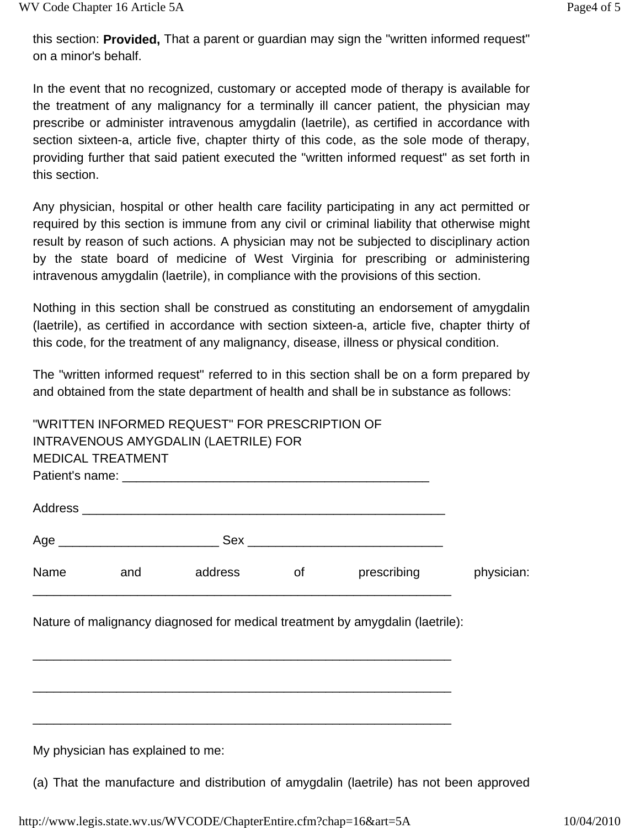this section: **Provided,** That a parent or guardian may sign the "written informed request" on a minor's behalf.

In the event that no recognized, customary or accepted mode of therapy is available for the treatment of any malignancy for a terminally ill cancer patient, the physician may prescribe or administer intravenous amygdalin (laetrile), as certified in accordance with section sixteen-a, article five, chapter thirty of this code, as the sole mode of therapy, providing further that said patient executed the "written informed request" as set forth in this section.

Any physician, hospital or other health care facility participating in any act permitted or required by this section is immune from any civil or criminal liability that otherwise might result by reason of such actions. A physician may not be subjected to disciplinary action by the state board of medicine of West Virginia for prescribing or administering intravenous amygdalin (laetrile), in compliance with the provisions of this section.

Nothing in this section shall be construed as constituting an endorsement of amygdalin (laetrile), as certified in accordance with section sixteen-a, article five, chapter thirty of this code, for the treatment of any malignancy, disease, illness or physical condition.

The "written informed request" referred to in this section shall be on a form prepared by and obtained from the state department of health and shall be in substance as follows:

|      |                          | "WRITTEN INFORMED REQUEST" FOR PRESCRIPTION OF<br>INTRAVENOUS AMYGDALIN (LAETRILE) FOR |    |                                                                               |            |
|------|--------------------------|----------------------------------------------------------------------------------------|----|-------------------------------------------------------------------------------|------------|
|      | <b>MEDICAL TREATMENT</b> |                                                                                        |    |                                                                               |            |
|      |                          |                                                                                        |    |                                                                               |            |
|      |                          |                                                                                        |    |                                                                               |            |
|      |                          |                                                                                        |    |                                                                               |            |
| Name | and                      | address                                                                                | of | prescribing                                                                   | physician: |
|      |                          |                                                                                        |    | Nature of malignancy diagnosed for medical treatment by amygdalin (laetrile): |            |

My physician has explained to me:

(a) That the manufacture and distribution of amygdalin (laetrile) has not been approved

http://www.legis.state.wv.us/WVCODE/ChapterEntire.cfm?chap=16&art=5A 10/04/2010

\_\_\_\_\_\_\_\_\_\_\_\_\_\_\_\_\_\_\_\_\_\_\_\_\_\_\_\_\_\_\_\_\_\_\_\_\_\_\_\_\_\_\_\_\_\_\_\_\_\_\_\_\_\_\_\_\_\_\_\_

\_\_\_\_\_\_\_\_\_\_\_\_\_\_\_\_\_\_\_\_\_\_\_\_\_\_\_\_\_\_\_\_\_\_\_\_\_\_\_\_\_\_\_\_\_\_\_\_\_\_\_\_\_\_\_\_\_\_\_\_

\_\_\_\_\_\_\_\_\_\_\_\_\_\_\_\_\_\_\_\_\_\_\_\_\_\_\_\_\_\_\_\_\_\_\_\_\_\_\_\_\_\_\_\_\_\_\_\_\_\_\_\_\_\_\_\_\_\_\_\_